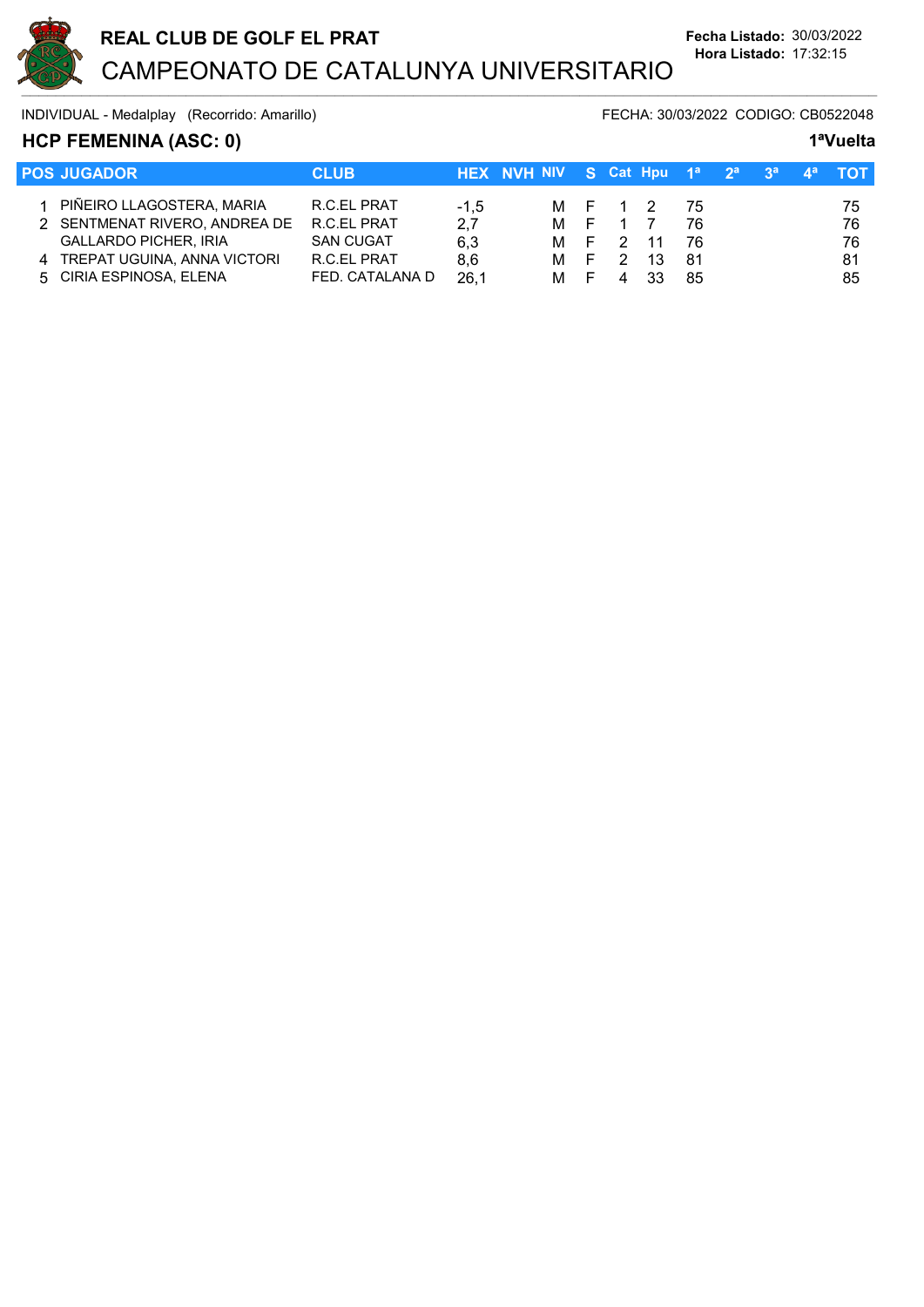

# HCP FEMENINA (ASC: 0) 1<sup>a</sup>Vuelta

| <b>POS JUGADOR</b>            | <b>CLUB</b>      |        | HEX NVH NIV S Cat Hpu 1 <sup>a</sup> 2 <sup>a</sup> 3 <sup>a</sup> 4 <sup>a</sup> TOT |                |     |      |  |    |
|-------------------------------|------------------|--------|---------------------------------------------------------------------------------------|----------------|-----|------|--|----|
| 1 PIÑEIRO LLAGOSTERA, MARIA   | R.C.EL PRAT      |        |                                                                                       | M F 1 2        |     |      |  |    |
|                               |                  | $-1.5$ |                                                                                       |                |     | - 75 |  | 75 |
| 2 SENTMENAT RIVERO, ANDREA DE | R.C.EL PRAT      | 2,7    |                                                                                       | M F 1 7        |     | 76   |  | 76 |
| <b>GALLARDO PICHER, IRIA</b>  | <b>SAN CUGAT</b> | 6.3    |                                                                                       | M F 2 11       |     | 76   |  | 76 |
| 4 TREPAT UGUINA, ANNA VICTORI | R.C.EL PRAT      | 8.6    | M F                                                                                   | $\overline{2}$ | -13 | -81  |  | 81 |
| 5 CIRIA ESPINOSA, ELENA       | FED. CATALANA D  | 26,1   | M F                                                                                   |                | 33  | 85   |  | 85 |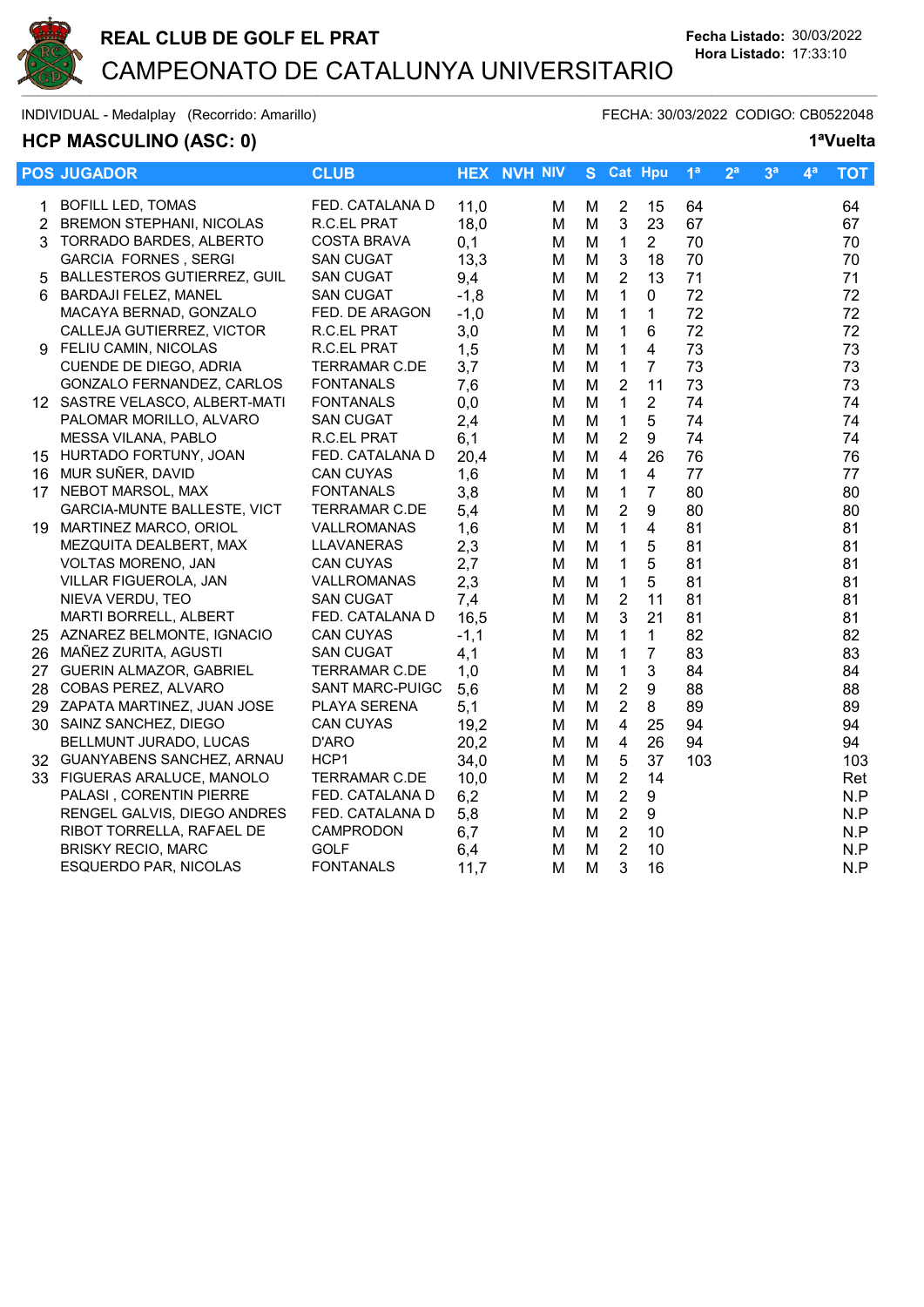

# HCP MASCULINO (ASC: 0) 1<sup>a</sup>Vuelta

|    | <b>POS JUGADOR</b>                 | <b>CLUB</b>            |        | <b>HEX NVH NIV</b> |   |                | S Cat Hpu      | 1 <sup>a</sup> | 2 <sup>a</sup> | 3 <sup>a</sup> | 4 <sup>a</sup> | <b>TOT</b> |
|----|------------------------------------|------------------------|--------|--------------------|---|----------------|----------------|----------------|----------------|----------------|----------------|------------|
| 1. | <b>BOFILL LED, TOMAS</b>           | FED. CATALANA D        | 11,0   | М                  | M | $\overline{2}$ | 15             | 64             |                |                |                | 64         |
|    | 2 BREMON STEPHANI, NICOLAS         | R.C.EL PRAT            | 18,0   | M                  | M | $\mathbf{3}$   | 23             | 67             |                |                |                | 67         |
| 3  | TORRADO BARDES, ALBERTO            | <b>COSTA BRAVA</b>     | 0,1    | м                  | M | $\overline{1}$ | $\overline{2}$ | 70             |                |                |                | 70         |
|    | <b>GARCIA FORNES, SERGI</b>        | <b>SAN CUGAT</b>       | 13,3   | м                  | M | 3              | 18             | 70             |                |                |                | 70         |
| 5  | BALLESTEROS GUTIERREZ, GUIL        | <b>SAN CUGAT</b>       | 9,4    | M                  | M | $\overline{2}$ | 13             | 71             |                |                |                | 71         |
|    | 6 BARDAJI FELEZ, MANEL             | <b>SAN CUGAT</b>       | $-1,8$ | M                  | M | $\mathbf{1}$   | 0              | 72             |                |                |                | 72         |
|    | MACAYA BERNAD, GONZALO             | FED. DE ARAGON         | $-1,0$ | M                  | M | $\mathbf{1}$   | $\mathbf{1}$   | 72             |                |                |                | 72         |
|    | CALLEJA GUTIERREZ, VICTOR          | R.C.EL PRAT            | 3,0    | M                  | M | $\mathbf{1}$   | 6              | 72             |                |                |                | 72         |
|    | 9 FELIU CAMIN, NICOLAS             | R.C.EL PRAT            | 1,5    | м                  | M | $\mathbf{1}$   | 4              | 73             |                |                |                | 73         |
|    | CUENDE DE DIEGO, ADRIA             | <b>TERRAMAR C.DE</b>   | 3,7    | M                  | M | $\mathbf{1}$   | $\overline{7}$ | 73             |                |                |                | 73         |
|    | GONZALO FERNANDEZ, CARLOS          | <b>FONTANALS</b>       | 7,6    | М                  | M | $\overline{2}$ | 11             | 73             |                |                |                | 73         |
|    | 12 SASTRE VELASCO, ALBERT-MATI     | <b>FONTANALS</b>       | 0,0    | м                  | M | $\mathbf{1}$   | $\overline{2}$ | 74             |                |                |                | 74         |
|    | PALOMAR MORILLO, ALVARO            | <b>SAN CUGAT</b>       | 2,4    | м                  | M | $\mathbf 1$    | 5              | 74             |                |                |                | 74         |
|    | MESSA VILANA, PABLO                | R.C.EL PRAT            | 6,1    | м                  | M | $\overline{2}$ | 9              | 74             |                |                |                | 74         |
|    | 15 HURTADO FORTUNY, JOAN           | FED. CATALANA D        | 20,4   | M                  | M | $\overline{4}$ | 26             | 76             |                |                |                | 76         |
|    | 16 MUR SUÑER, DAVID                | <b>CAN CUYAS</b>       | 1,6    | M                  | M | $\mathbf{1}$   | $\overline{4}$ | 77             |                |                |                | 77         |
|    | 17 NEBOT MARSOL, MAX               | <b>FONTANALS</b>       | 3,8    | М                  | M | $\mathbf{1}$   | $\overline{7}$ | 80             |                |                |                | 80         |
|    | <b>GARCIA-MUNTE BALLESTE, VICT</b> | <b>TERRAMAR C.DE</b>   | 5,4    | м                  | M | $\overline{2}$ | 9              | 80             |                |                |                | 80         |
|    | 19 MARTINEZ MARCO, ORIOL           | VALLROMANAS            | 1,6    | м                  | M | $\mathbf{1}$   | 4              | 81             |                |                |                | 81         |
|    | MEZQUITA DEALBERT, MAX             | LLAVANERAS             | 2,3    | M                  | M | $\mathbf{1}$   | 5              | 81             |                |                |                | 81         |
|    | VOLTAS MORENO, JAN                 | CAN CUYAS              | 2,7    | M                  | M | $\mathbf{1}$   | 5              | 81             |                |                |                | 81         |
|    | VILLAR FIGUEROLA, JAN              | VALLROMANAS            | 2,3    | M                  | M | $\mathbf{1}$   | 5              | 81             |                |                |                | 81         |
|    | NIEVA VERDU, TEO                   | <b>SAN CUGAT</b>       | 7,4    | м                  | M | $\overline{2}$ | 11             | 81             |                |                |                | 81         |
|    | <b>MARTI BORRELL, ALBERT</b>       | FED. CATALANA D        | 16,5   | м                  | M | $\mathbf{3}$   | 21             | 81             |                |                |                | 81         |
|    | 25 AZNAREZ BELMONTE, IGNACIO       | <b>CAN CUYAS</b>       | $-1,1$ | М                  | M | $\mathbf{1}$   | $\mathbf{1}$   | 82             |                |                |                | 82         |
|    | 26 MAÑEZ ZURITA, AGUSTI            | <b>SAN CUGAT</b>       | 4,1    | М                  | M | $\mathbf 1$    | $\overline{7}$ | 83             |                |                |                | 83         |
|    | 27 GUERIN ALMAZOR, GABRIEL         | <b>TERRAMAR C.DE</b>   | 1,0    | М                  | M | $\mathbf{1}$   | 3              | 84             |                |                |                | 84         |
|    | 28 COBAS PEREZ, ALVARO             | <b>SANT MARC-PUIGC</b> | 5,6    | м                  | M | $\sqrt{2}$     | 9              | 88             |                |                |                | 88         |
|    | 29 ZAPATA MARTINEZ, JUAN JOSE      | PLAYA SERENA           | 5,1    | м                  | M | $\sqrt{2}$     | 8              | 89             |                |                |                | 89         |
|    | 30 SAINZ SANCHEZ, DIEGO            | <b>CAN CUYAS</b>       | 19,2   | м                  | M | $\overline{4}$ | 25             | 94             |                |                |                | 94         |
|    | BELLMUNT JURADO, LUCAS             | D'ARO                  | 20,2   | M                  | M | $\overline{4}$ | 26             | 94             |                |                |                | 94         |
|    | 32 GUANYABENS SANCHEZ, ARNAU       | HCP <sub>1</sub>       | 34,0   | м                  | M | $\sqrt{5}$     | 37             | 103            |                |                |                | 103        |
|    | 33 FIGUERAS ARALUCE, MANOLO        | <b>TERRAMAR C.DE</b>   | 10,0   | м                  | M | $\overline{2}$ | 14             |                |                |                |                | Ret        |
|    | PALASI, CORENTIN PIERRE            | FED. CATALANA D        | 6,2    | м                  | M | $\overline{2}$ | 9              |                |                |                |                | N.P        |
|    | RENGEL GALVIS, DIEGO ANDRES        | FED. CATALANA D        | 5,8    | М                  | M | $\sqrt{2}$     | 9              |                |                |                |                | N.P        |
|    | RIBOT TORRELLA, RAFAEL DE          | CAMPRODON              | 6,7    | м                  | M | $\overline{2}$ | 10             |                |                |                |                | N.P        |
|    | <b>BRISKY RECIO, MARC</b>          | <b>GOLF</b>            | 6,4    | M                  | M | $\overline{2}$ | 10             |                |                |                |                | N.P        |
|    | ESQUERDO PAR, NICOLAS              | <b>FONTANALS</b>       | 11,7   | М                  | M | 3              | 16             |                |                |                |                | N.P        |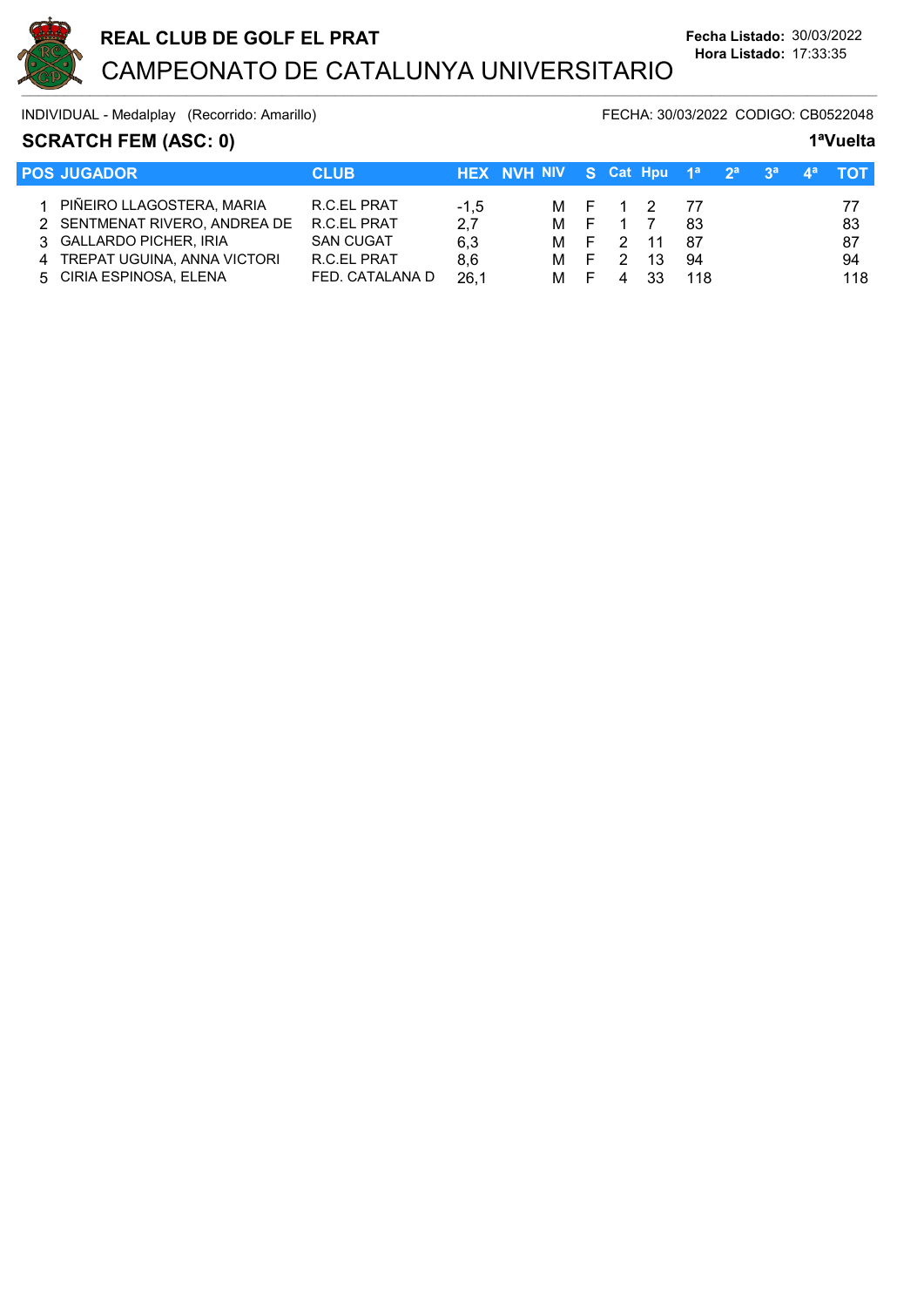

# SCRATCH FEM (ASC: 0) 1<sup>a</sup>Vuelta

| <b>POS JUGADOR</b>            | <b>CLUB</b>      |        | HEX NVH NIV S Cat Hpu 1 <sup>a</sup> 2 <sup>a</sup> 3 <sup>a</sup> 4 <sup>a</sup> TOT |          |            |     |  |     |
|-------------------------------|------------------|--------|---------------------------------------------------------------------------------------|----------|------------|-----|--|-----|
|                               |                  |        |                                                                                       |          |            |     |  |     |
| 1 PIÑEIRO LLAGOSTERA, MARIA   | R.C.EL PRAT      | $-1.5$ |                                                                                       |          | M F 1 2 77 |     |  | 77  |
| 2 SENTMENAT RIVERO, ANDREA DE | R.C.EL PRAT      | 2,7    |                                                                                       | M F 1 7  |            | -83 |  | -83 |
| 3 GALLARDO PICHER, IRIA       | <b>SAN CUGAT</b> | 6.3    |                                                                                       | M F 2 11 |            | -87 |  | 87  |
| 4 TREPAT UGUINA, ANNA VICTORI | R.C.EL PRAT      | 8.6    | M F                                                                                   | - 2      | -13        | 94  |  | 94  |
| 5 CIRIA ESPINOSA, ELENA       | FED. CATALANA D  | 26.1   | M F                                                                                   |          | 33         | 118 |  | 118 |